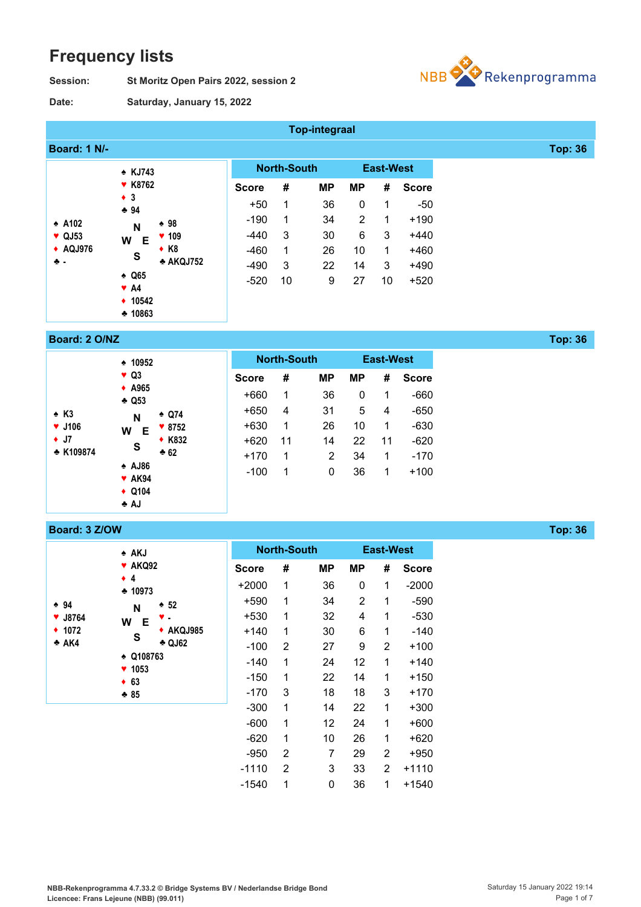# **Frequency lists**

**Date:**

**St Moritz Open Pairs 2022, session 2 Session:**



**Saturday, January 15, 2022**

|                           |                                            |              |                    | <b>Top-integraal</b> |                |                  |              |                |
|---------------------------|--------------------------------------------|--------------|--------------------|----------------------|----------------|------------------|--------------|----------------|
| <b>Board: 1 N/-</b>       |                                            |              |                    |                      |                |                  |              | <b>Top: 36</b> |
|                           | * KJ743                                    |              | <b>North-South</b> |                      |                | <b>East-West</b> |              |                |
|                           | <b>* K8762</b>                             | <b>Score</b> | #                  | МP                   | <b>MP</b>      | #                | <b>Score</b> |                |
|                           | $\bullet$ 3<br>$-94$                       | $+50$        | 1                  | 36                   | 0              | 1                | -50          |                |
| $\triangle$ A102          | $\div$ 98<br>N                             | $-190$       | 1                  | 34                   | $\overline{2}$ | 1                | $+190$       |                |
| $\blacktriangledown$ QJ53 | 109<br>v.<br>W<br>Е                        | $-440$       | 3                  | 30                   | 6              | 3                | $+440$       |                |
| ◆ AQJ976                  | $\bullet$ K <sub>8</sub><br>S              | $-460$       | 1                  | 26                   | 10             | 1                | $+460$       |                |
| ÷.                        | * AKQJ752                                  | $-490$       | 3                  | 22                   | 14             | 3                | $+490$       |                |
|                           | $\triangle$ Q65<br>$\blacktriangledown$ A4 | $-520$       | 10                 | 9                    | 27             | 10               | $+520$       |                |
|                           | ◆ 10542                                    |              |                    |                      |                |                  |              |                |
|                           | • 10863                                    |              |                    |                      |                |                  |              |                |

#### **Board: 2 O/NZ Top: 36**

|                            | $\div$ 10952                                     |                 |              | <b>North-South</b> |           |    | <b>East-West</b> |              |
|----------------------------|--------------------------------------------------|-----------------|--------------|--------------------|-----------|----|------------------|--------------|
|                            | $\vee$ Q3<br>$\triangle$ A965<br>$\triangle$ Q53 |                 | <b>Score</b> | #                  | <b>MP</b> | МP | #                | <b>Score</b> |
|                            |                                                  |                 | +660         | 1                  | 36        | 0  | 1                | -660         |
| $\triangle$ K <sub>3</sub> | N                                                | $\triangle$ Q74 | $+650$       | 4                  | 31        | 5  | 4                | $-650$       |
| $\times$ J106              | W<br>Е<br>S                                      | $* 8752$        | $+630$       | 1                  | 26        | 10 | 1                | $-630$       |
| $\bullet$ J7               |                                                  | ◆ K832          | $+620$       | 11                 | 14        | 22 | 11               | $-620$       |
| * K109874                  |                                                  | $*62$           | $+170$       | 1                  | 2         | 34 | 1                | $-170$       |
|                            | $\triangle$ AJ86<br>$\blacktriangledown$ AK94    |                 | $-100$       | 1                  | 0         | 36 | 1                | $+100$       |
|                            | $\triangle$ Q104<br>♣ AJ                         |                 |              |                    |           |    |                  |              |

#### **Board: 3 Z/OW Top: 36**

♠ **94** ♥ **J8764** ♦ **1072** ♣ **AK4**

| * AKJ                   |              |                | <b>North-South</b> |                | <b>East-West</b> |              |
|-------------------------|--------------|----------------|--------------------|----------------|------------------|--------------|
| <b>AKQ92</b><br>Y       | <b>Score</b> | #              | МP                 | МP             | #                | <b>Score</b> |
| $\bullet$ 4<br>$-10973$ | $+2000$      | 1              | 36                 | 0              | 1                | $-2000$      |
| $\div$ 52<br>N          | +590         | 1              | 34                 | $\overline{2}$ | 1                | -590         |
| W<br>Е                  | +530         | 1              | 32                 | 4              | 1                | $-530$       |
| ◆ AKQJ985<br>S          | $+140$       | 1              | 30                 | 6              | 1                | $-140$       |
| <b>↑ QJ62</b>           | $-100$       | $\overline{2}$ | 27                 | 9              | $\overline{2}$   | +100         |
| Q108763<br>٠<br>1053    | $-140$       | 1              | 24                 | 12             | 1                | +140         |
| 63<br>٠                 | $-150$       | 1              | 22                 | 14             | 1                | +150         |
| $*85$                   | -170         | 3              | 18                 | 18             | 3                | +170         |
|                         | $-300$       | 1              | 14                 | 22             | 1                | +300         |
|                         | $-600$       | 1              | 12                 | 24             | 1                | $+600$       |
|                         | $-620$       | 1              | 10                 | 26             | 1                | $+620$       |
|                         | $-950$       | 2              | 7                  | 29             | $\overline{2}$   | +950         |
|                         | $-1110$      | $\overline{2}$ | 3                  | 33             | $\overline{2}$   | +1110        |
|                         | -1540        | 1              | 0                  | 36             | 1                | +1540        |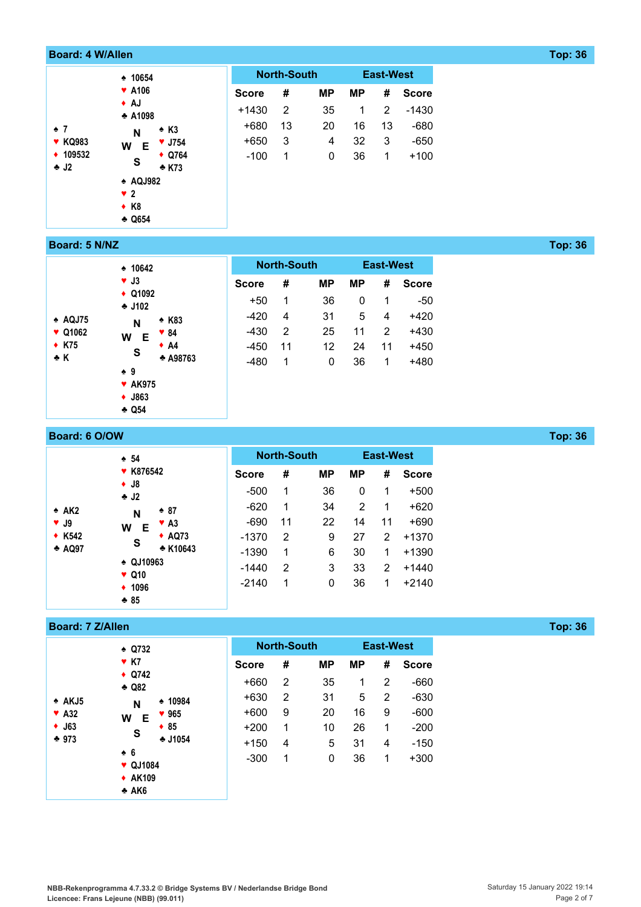| <b>Board: 4 W/Allen</b> |                                      |              |                    |           |           |                  |              |
|-------------------------|--------------------------------------|--------------|--------------------|-----------|-----------|------------------|--------------|
|                         | $\div$ 10654                         |              | <b>North-South</b> |           |           | <b>East-West</b> |              |
|                         | <b>*</b> A106                        | <b>Score</b> | #                  | <b>MP</b> | <b>MP</b> | #                | <b>Score</b> |
| $\div$ 7                | $\bullet$ AJ<br>$\triangle$ A1098    | $+1430$      | 2                  | 35        | 1         | 2                | $-1430$      |
|                         | $\triangle$ K3<br>$\mathsf{N}$       | +680         | 13                 | 20        | 16        | 13               | $-680$       |
| <b>* KQ983</b>          | $\blacktriangledown$ J754<br>W<br>Е  | +650         | 3                  | 4         | 32        | 3                | $-650$       |
| ◆ 109532<br>$\div$ J2   | $\triangle$ Q764<br>S<br>$\div$ K73  | $-100$       | 1                  | $\pmb{0}$ | 36        | 1                | $+100$       |
|                         | $\triangle$ AQJ982                   |              |                    |           |           |                  |              |
|                         | $\sqrt{2}$                           |              |                    |           |           |                  |              |
|                         | $\bullet$ K <sub>8</sub><br>$-$ Q654 |              |                    |           |           |                  |              |

#### **Board: 5 N/NZ Top: 36**

|                            | $\div$ 10642                 |                 |        | <b>North-South</b> |           |           | <b>East-West</b> |              |
|----------------------------|------------------------------|-----------------|--------|--------------------|-----------|-----------|------------------|--------------|
|                            | $\blacktriangledown$ J3      |                 |        | #                  | <b>MP</b> | <b>MP</b> | #                | <b>Score</b> |
|                            | $\triangle$ Q1092<br>$-1102$ |                 | $+50$  | 1                  | 36        | 0         | 1                | $-50$        |
| $\triangle$ AQJ75          | N                            | $\triangle$ K83 | $-420$ | 4                  | 31        | 5         | 4                | +420         |
| $\blacktriangledown$ Q1062 | W<br>Е                       | ♥ 84            | $-430$ | 2                  | 25        | 11        | 2                | $+430$       |
| $\div$ K75                 | S                            | $\bullet$ A4    | $-450$ | 11                 | 12        | 24        | 11               | $+450$       |
| ÷ K                        | ≜ 9                          | <b>↑ A98763</b> | $-480$ | 1                  | 0         | 36        | 1                | $+480$       |
|                            | $*$ AK975                    |                 |        |                    |           |           |                  |              |
|                            | $\bullet$ J863               |                 |        |                    |           |           |                  |              |
|                            | $\triangle$ Q54              |                 |        |                    |           |           |                  |              |

# **Board: 6 O/OW <b>Top: 36**

|                         | $\div$ 54                            |              | <b>North-South</b> |           |           | <b>East-West</b> |              |
|-------------------------|--------------------------------------|--------------|--------------------|-----------|-----------|------------------|--------------|
|                         | ▼ K876542                            | <b>Score</b> | #                  | <b>MP</b> | <b>MP</b> | #                | <b>Score</b> |
|                         | $\bullet$ J8<br>$\bullet$ J2         | $-500$       | 1                  | 36        | 0         | 1                | $+500$       |
| $\triangle$ AK2         | $* 87$<br>N                          | $-620$       | 1                  | 34        | 2         | 1                | $+620$       |
| $\blacktriangledown$ J9 | $\blacktriangledown$ A3<br>W<br>Е    | -690         | 11                 | 22        | 14        | 11               | $+690$       |
| $\star$ K542            | $\triangle$ AQ73<br>S                | $-1370$      | 2                  | 9         | 27        | 2                | $+1370$      |
| $\triangle$ AQ97        | * K10643                             | $-1390$      | 1                  | 6         | 30        | 1                | +1390        |
|                         | $\triangle$ QJ10963<br>$\sqrt{Q}$ 10 | $-1440$      | 2                  | 3         | 33        | $\overline{2}$   | $+1440$      |
|                         | ◆ 1096                               | $-2140$      | 1                  | 0         | 36        | 1                | $+2140$      |
|                         | $*85$                                |              |                    |           |           |                  |              |

#### **Board: 7 Z/Allen Top: 36**

|                                                                         | $\div$ Q732<br>$Y$ K7<br>$\triangle$ Q742<br>$\div$ Q82           |
|-------------------------------------------------------------------------|-------------------------------------------------------------------|
| $\triangle$ AKJ5<br>$\blacktriangledown$ A32<br>$\bullet$ J63<br>$+973$ | $\cdot$ 10984<br>N<br>965<br>Е<br>W<br>$\div$ 85<br>S<br>$-11054$ |
|                                                                         | ≜ 6<br>$\blacktriangledown$ QJ1084<br>$\div$ AK109<br>♣ AK6       |

|              | <b>North-South</b> |    | <b>East-West</b> |   |              |  |  |
|--------------|--------------------|----|------------------|---|--------------|--|--|
| <b>Score</b> | #                  | МP | МP               | # | <b>Score</b> |  |  |
| $+660$       | 2                  | 35 | 1                | 2 | $-660$       |  |  |
| $+630$       | 2                  | 31 | 5                | 2 | $-630$       |  |  |
| $+600$       | 9                  | 20 | 16               | 9 | $-600$       |  |  |
| $+200$       | 1                  | 10 | 26               | 1 | $-200$       |  |  |
| +150         | 4                  | 5  | 31               | 4 | -150         |  |  |
| -300         | 1                  | 0  | 36               | 1 | $+300$       |  |  |
|              |                    |    |                  |   |              |  |  |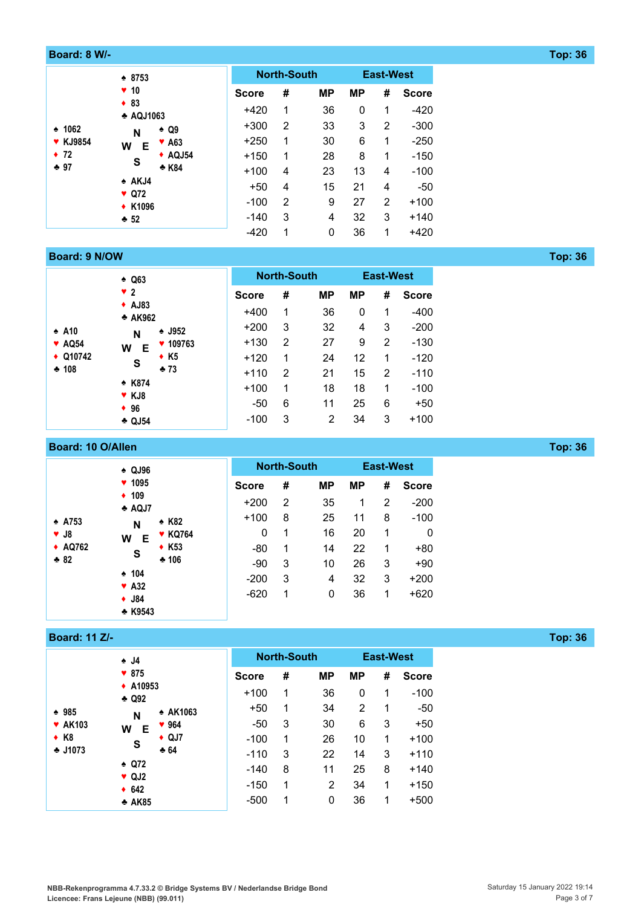#### **Board: 8 W/- Top: 36**

|                                          | $* 8753$                           |                          |              | <b>North-South</b> |           |           | <b>East-West</b> |              |
|------------------------------------------|------------------------------------|--------------------------|--------------|--------------------|-----------|-----------|------------------|--------------|
| $\div$ 1062<br><b>* KJ9854</b><br>$+ 72$ | $\blacktriangledown$ 10            |                          | <b>Score</b> | #                  | <b>MP</b> | <b>MP</b> | #                | <b>Score</b> |
|                                          | $+ 83$<br><b>↑ AQJ1063</b>         |                          | $+420$       | 1                  | 36        | 0         | 1                | $-420$       |
|                                          | N                                  | $\triangle$ Q9           | $+300$       | 2                  | 33        | 3         | 2                | $-300$       |
|                                          | W<br>Е                             | $\blacktriangledown$ A63 | $+250$       | 1                  | 30        | 6         | 1                | $-250$       |
|                                          | S                                  | $\triangle$ AQJ54        | $+150$       | 1                  | 28        | 8         | 1                | $-150$       |
| $+97$                                    |                                    | * K84                    | $+100$       | 4                  | 23        | 13        | 4                | $-100$       |
|                                          | $\triangle$ AKJ4<br>$\sqrt{Q}$ Q72 |                          | $+50$        | 4                  | 15        | 21        | 4                | $-50$        |
|                                          | ◆ K1096                            |                          | $-100$       | 2                  | 9         | 27        | $\mathfrak{p}$   | $+100$       |
|                                          | $+52$                              |                          |              | 3                  | 4         | 32        | 3                | $+140$       |
|                                          |                                    |                          | $-420$       | 1                  | 0         | 36        | 1                | $+420$       |

#### **Board: 9 N/OW <b>Top:** 36

|                                         | $\triangle$ Q63                         |              |   | <b>North-South</b> |           | <b>East-West</b> |              |
|-----------------------------------------|-----------------------------------------|--------------|---|--------------------|-----------|------------------|--------------|
|                                         | $\sqrt{2}$                              | <b>Score</b> | # | <b>MP</b>          | <b>MP</b> | #                | <b>Score</b> |
| $\div$ A10<br>$\blacktriangledown$ AQ54 | $\triangle$ AJ83<br>* AK962             | $+400$       | 1 | 36                 | 0         | 1                | -400         |
|                                         | $\triangle$ J952<br>N                   | $+200$       | 3 | 32                 | 4         | 3                | $-200$       |
|                                         | $* 109763$<br>W<br>Е                    | $+130$       | 2 | 27                 | 9         | 2                | $-130$       |
| $\triangle$ Q10742                      | $\bullet$ K5<br>S                       | $+120$       | 1 | 24                 | 12        | 1                | $-120$       |
| $*108$                                  | $*73$                                   | $+110$       | 2 | 21                 | 15        | 2                | $-110$       |
|                                         | $\div$ K874<br>$\blacktriangledown$ KJ8 | $+100$       | 1 | 18                 | 18        | 1                | $-100$       |
|                                         | $+96$                                   | $-50$        | 6 | 11                 | 25        | 6                | $+50$        |
|                                         | $\triangle$ QJ54                        | $-100$       | 3 | 2                  | 34        | 3                | $+100$       |

#### **Board: 10 O/Allen Top: 36**

|                          | $\triangle$ QJ96                       |                 |              | <b>North-South</b> |           |           | <b>East-West</b> |              |
|--------------------------|----------------------------------------|-----------------|--------------|--------------------|-----------|-----------|------------------|--------------|
|                          | $* 1095$                               |                 | <b>Score</b> | #                  | <b>MP</b> | <b>MP</b> | #                | <b>Score</b> |
| $\div$ A753<br>$\Psi$ J8 | $\div$ 109<br>$\triangle$ AQJ7         |                 | $+200$       | 2                  | 35        | 1         | 2                | $-200$       |
|                          | N                                      | $\triangle$ K82 | $+100$       | 8                  | 25        | 11        | 8                | $-100$       |
|                          | W<br>Е                                 | <b>* KQ764</b>  | 0            | 1                  | 16        | 20        | 1                | 0            |
| ◆ AQ762                  | S                                      | $\triangle$ K53 | -80          | 1                  | 14        | 22        | 1                | $+80$        |
| $* 82$                   |                                        | $*106$          | -90          | 3                  | 10        | 26        | 3                | $+90$        |
|                          | $\div$ 104<br>$\blacktriangledown$ A32 |                 | $-200$       | 3                  | 4         | 32        | 3                | $+200$       |
|                          | $\bullet$ J84                          |                 | $-620$       | 1                  | 0         | 36        | 1                | $+620$       |
|                          | $\triangle$ K9543                      |                 |              |                    |           |           |                  |              |

# **Board: 11 Z/- Top: 36**

|                          | ≜ J4                                                              |                 |              | <b>North-South</b> |                |           | <b>East-West</b> |              |
|--------------------------|-------------------------------------------------------------------|-----------------|--------------|--------------------|----------------|-----------|------------------|--------------|
|                          | $\blacktriangledown 875$<br>$\triangle$ A10953<br>$\triangle$ Q92 |                 | <b>Score</b> | #                  | <b>MP</b>      | <b>MP</b> | #                | <b>Score</b> |
|                          |                                                                   |                 | $+100$       | 1                  | 36             | 0         | 1                | $-100$       |
| $* 985$                  | N                                                                 | ↑ AK1063        | $+50$        | 1                  | 34             | 2         | 1                | $-50$        |
| <b>* AK103</b>           | W<br>Е                                                            | 964             | $-50$        | 3                  | 30             | 6         | 3                | $+50$        |
| $\bullet$ K <sub>8</sub> | S                                                                 | $\triangle$ QJ7 | $-100$       | 1                  | 26             | 10        | 1                | $+100$       |
| $-11073$                 |                                                                   | $*64$           | $-110$       | 3                  | 22             | 14        | 3                | $+110$       |
|                          | $\triangle$ Q72<br>$\vee$ QJ2                                     |                 | $-140$       | 8                  | 11             | 25        | 8                | $+140$       |
|                          | $+ 642$                                                           |                 | $-150$       | 1                  | $\overline{2}$ | 34        | 1                | $+150$       |
|                          | $\triangle$ AK85                                                  |                 | $-500$       | 1                  | 0              | 36        | 1                | $+500$       |

**NBB-Rekenprogramma 4.7.33.2 © Bridge Systems BV / Nederlandse Bridge Bond Licencee: Frans Lejeune (NBB) (99.011)**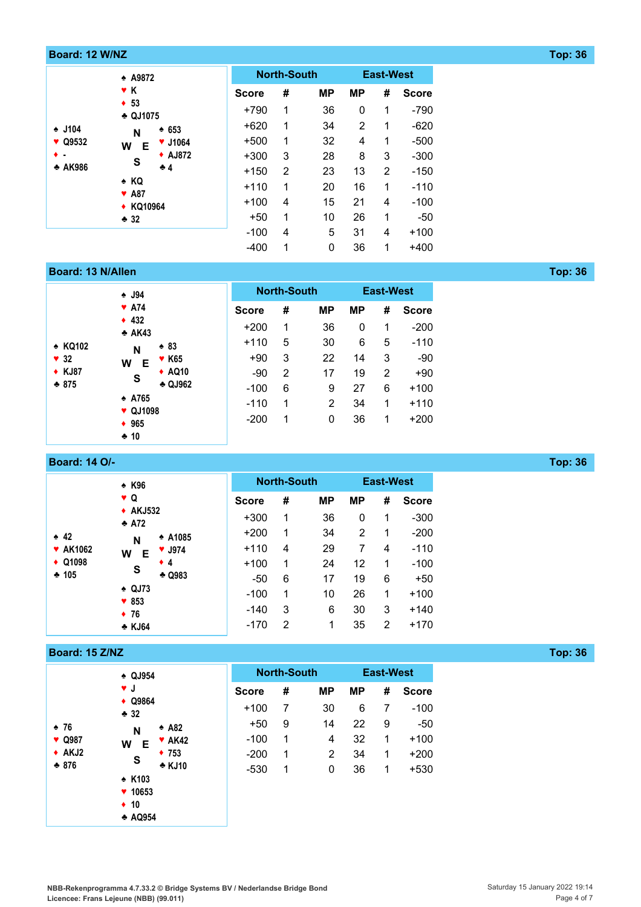| Board: 12 W/NZ |                                |              |                    |             |                |                  |              |
|----------------|--------------------------------|--------------|--------------------|-------------|----------------|------------------|--------------|
|                | ↑ A9872                        |              | <b>North-South</b> |             |                | <b>East-West</b> |              |
|                | $\bullet$ K                    | <b>Score</b> | #                  | <b>MP</b>   | <b>MP</b>      | #                | <b>Score</b> |
|                | $\div$ 53<br>$-$ QJ1075        | $+790$       | 1                  | 36          | 0              | 1                | $-790$       |
| $\div$ J104    | $\div 653$<br>N                | $+620$       | 1                  | 34          | $\overline{2}$ | 1                | $-620$       |
| ♥ Q9532<br>W   | $\times$ J1064<br>Е            | $+500$       | 1                  | 32          | 4              | 1                | $-500$       |
| $\bullet$ .    | <b>◆ AJ872</b><br>S            | $+300$       | -3                 | 28          | 8              | 3                | $-300$       |
| * AK986        | $+4$                           | $+150$       | 2                  | 23          | 13             | 2                | $-150$       |
|                | $\triangle$ KQ<br><b>*</b> A87 | $+110$       | 1                  | 20          | 16             | 1                | $-110$       |
|                | ◆ KQ10964                      | $+100$       | 4                  | 15          | 21             | 4                | $-100$       |
|                | • 32                           | $+50$        | 1                  | 10          | 26             | 1                | -50          |
|                |                                | $-100$       | 4                  | 5           | 31             | 4                | $+100$       |
|                |                                | $-400$       | 1                  | $\mathbf 0$ | 36             | 1                | $+400$       |

# **Board: 13 N/Allen Top: 36**

|             | $\triangle$ J94                |                   |              |   | <b>North-South</b> | <b>East-West</b> |   |              |  |
|-------------|--------------------------------|-------------------|--------------|---|--------------------|------------------|---|--------------|--|
|             | $\blacktriangledown$ A74       |                   | <b>Score</b> | # | <b>MP</b>          | <b>MP</b>        | # | <b>Score</b> |  |
|             | 432<br>$\triangle$ AK43        |                   | $+200$       | 1 | 36                 | 0                | 1 | $-200$       |  |
| * KQ102     | N<br>W<br>Е<br>S               | $* 83$            | $+110$       | 5 | 30                 | 6                | 5 | $-110$       |  |
| $\sqrt{32}$ |                                | <b>* K65</b>      | $+90$        | 3 | 22                 | 14               | 3 | $-90$        |  |
| ◆ KJ87      |                                | ◆ AQ10            | $-90$        | 2 | 17                 | 19               | 2 | $+90$        |  |
| $* 875$     |                                | $\triangle$ QJ962 | $-100$       | 6 | 9                  | 27               | 6 | $+100$       |  |
|             | $\div$ A765<br><b>v</b> QJ1098 |                   | $-110$       | 1 | 2                  | 34               | 1 | $+110$       |  |
|             | ◆ 965                          |                   | $-200$       | 1 | 0                  | 36               | 1 | $+200$       |  |
|             | $+10$                          |                   |              |   |                    |                  |   |              |  |

# **Board: 14 O/- Top: 36**

|                   | <b>↑ K96</b>                               |                           |              |   | <b>North-South</b> | <b>East-West</b> |   |              |
|-------------------|--------------------------------------------|---------------------------|--------------|---|--------------------|------------------|---|--------------|
|                   | $\bullet$ Q                                |                           | <b>Score</b> | # | <b>MP</b>          | <b>MP</b>        | # | <b>Score</b> |
|                   | $\triangle$ AKJ532<br>$+ A72$              |                           | $+300$       | 1 | 36                 | 0                | 1 | $-300$       |
| 42                | N                                          | <b>↑ A1085</b>            | $+200$       | 1 | 34                 | 2                | 1 | $-200$       |
| <b>* AK1062</b>   | W<br>Е<br>S<br>$\triangle$ QJ73<br>$* 853$ | $\blacktriangledown$ J974 | $+110$       | 4 | 29                 | 7                | 4 | $-110$       |
| $\triangle$ Q1098 |                                            | $\bullet$ 4               | $+100$       | 1 | 24                 | 12               | 1 | $-100$       |
| $+105$            |                                            | $-$ Q983                  | $-50$        | 6 | 17                 | 19               | 6 | $+50$        |
|                   |                                            |                           | $-100$       | 1 | 10                 | 26               | 1 | $+100$       |
|                   | $\div$ 76                                  |                           | -140         | 3 | 6                  | 30               | 3 | $+140$       |
|                   | * KJ64                                     |                           | $-170$       | 2 | 1                  | 35               | 2 | $+170$       |

#### **Board: 15 Z/NZ Top: 36**

|                  | <b>↑ QJ954</b>                                 |                            |              | <b>North-South</b> |           | <b>East-West</b> |   |              |
|------------------|------------------------------------------------|----------------------------|--------------|--------------------|-----------|------------------|---|--------------|
|                  | v J                                            |                            | <b>Score</b> | #                  | <b>MP</b> | <b>MP</b>        | # | <b>Score</b> |
|                  | $\triangle$ Q9864<br>$-32$<br>N<br>W<br>Е<br>S |                            | $+100$       | 7                  | 30        | 6                | 7 | $-100$       |
| •76              |                                                | $\triangle$ A82            | $+50$        | 9                  | 14        | 22               | 9 | $-50$        |
| <b>v</b> Q987    |                                                | $\blacktriangleright$ AK42 | $-100$       | 1                  | 4         | 32               | 1 | $+100$       |
| $\triangle$ AKJ2 |                                                | $+ 753$                    | $-200$       | 1                  | 2         | 34               | 1 | $+200$       |
| $-876$           |                                                | * KJ10                     | $-530$       | 1                  | 0         | 36               | 1 | $+530$       |
|                  | $\div$ K103                                    |                            |              |                    |           |                  |   |              |
|                  | $* 10653$                                      |                            |              |                    |           |                  |   |              |
|                  | $\div$ 10<br><b>↑ AQ954</b>                    |                            |              |                    |           |                  |   |              |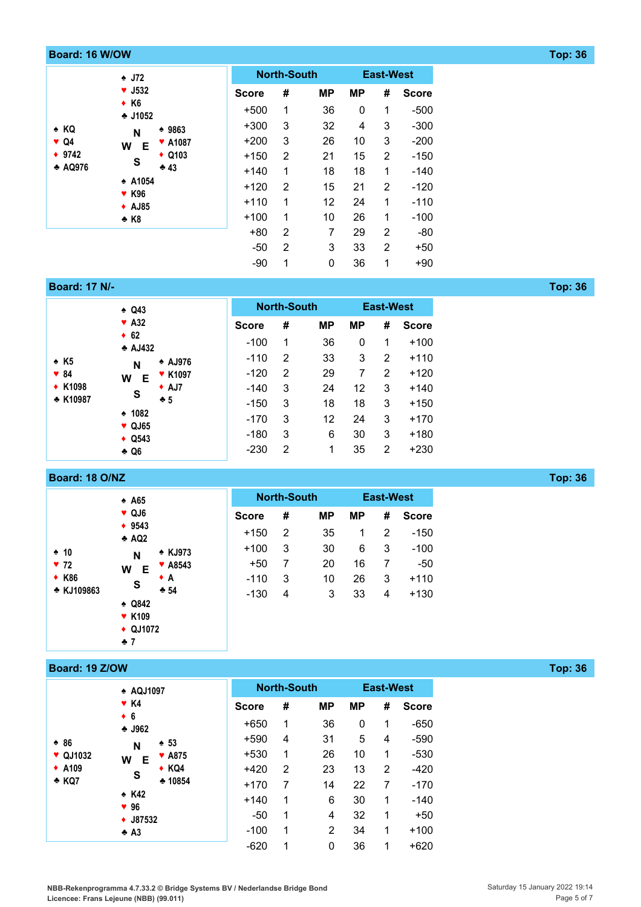| Board: 16 W/OW |                                  |                  |                |                    |                 |                |                  |              |
|----------------|----------------------------------|------------------|----------------|--------------------|-----------------|----------------|------------------|--------------|
|                | $\triangle$ J72                  |                  |                | <b>North-South</b> |                 |                | <b>East-West</b> |              |
|                | $\blacktriangledown$ J532        |                  | <b>Score</b>   | #                  | <b>MP</b>       | <b>MP</b>      | #                | <b>Score</b> |
|                | $\bullet$ K6<br>$-11052$         |                  | $+500$         | 1                  | 36              | 0              | 1                | $-500$       |
| $\triangle$ KQ | N                                | $*9863$          | $+300$         | 3                  | 32              | 4              | 3                | $-300$       |
| $\vee$ Q4      | <b>V</b> A1087<br>W<br>E         |                  | $+200$         | 3                  | 26              | 10             | 3                | $-200$       |
| $+ 9742$       |                                  | $\triangle$ Q103 | $+150$         | 2                  | 21              | 15             | 2                | $-150$       |
| <b>↑ AQ976</b> | S                                | $+43$            | $+140$         | 1                  | 18              | 18             | 1                | $-140$       |
|                | <b>↑ A1054</b>                   |                  | $+120$         | 2                  | 15              | 21             | 2                | $-120$       |
|                | <b>* K96</b><br>$\triangle$ AJ85 |                  | $+110$         | 1                  | 12 <sup>°</sup> | 24             | 1                | $-110$       |
|                | $\triangle$ K8                   |                  | $+100$         | 1                  | 10              | 26             | 1                | $-100$       |
|                |                                  |                  | $+80$          | 2                  | 7               | 29             | 2                | -80          |
|                |                                  | $-50$            | $\overline{2}$ | 3                  | 33              | $\overline{2}$ | $+50$            |              |
|                |                                  |                  | -90            | 1                  | 0               | 36             | 1                | $+90$        |

**Board: 17 N/- Top: 36**

|                       | $\triangle$ Q43                                                                                                |                |              | <b>North-South</b> |           | <b>East-West</b> |   |              |
|-----------------------|----------------------------------------------------------------------------------------------------------------|----------------|--------------|--------------------|-----------|------------------|---|--------------|
|                       | $\blacktriangledown$ A32                                                                                       |                | <b>Score</b> | #                  | <b>MP</b> | <b>MP</b>        | # | <b>Score</b> |
|                       | $\div$ 62<br>$\triangle$ AJ432                                                                                 |                | $-100$       | 1                  | 36        | 0                | 1 | $+100$       |
| $\div$ K <sub>5</sub> | N                                                                                                              | <b>AJ976</b>   | $-110$       | 2                  | 33        | 3                | 2 | $+110$       |
| $\sqrt{84}$           | W<br>Е                                                                                                         | <b>* K1097</b> | $-120$       | $\overline{2}$     | 29        | 7                | 2 | $+120$       |
| ◆ K1098               | $\bullet$ AJ7<br>S<br>$+5$<br>$\div$ 1082<br>$\blacktriangledown$ QJ65<br>$\triangleleft$ Q543<br>$\bullet$ Q6 |                | $-140$       | 3                  | 24        | 12               | 3 | $+140$       |
| * K10987              |                                                                                                                |                | $-150$       | 3                  | 18        | 18               | 3 | $+150$       |
|                       |                                                                                                                |                | $-170$       | 3                  | 12        | 24               | 3 | $+170$       |
|                       |                                                                                                                |                | $-180$       | 3                  | 6         | 30               | 3 | $+180$       |
|                       |                                                                                                                |                | $-230$       | 2                  | 1         | 35               | 2 | $+230$       |

# **Board: 18 O/NZ Top: 36**

|                                      | $\triangle$ A65                                                                                                                                    |              |        | <b>North-South</b> |           |    | <b>East-West</b> |        |
|--------------------------------------|----------------------------------------------------------------------------------------------------------------------------------------------------|--------------|--------|--------------------|-----------|----|------------------|--------|
|                                      | $\sqrt{Q}$ QJ6<br>◆ 9543<br>$\triangle$ AQ2<br><b>★ KJ973</b><br>N<br>$\blacktriangledown$ A8543<br>W<br>Е<br>$\bullet$ A<br>$\mathbf{s}$<br>$+54$ | <b>Score</b> | #      | <b>MP</b>          | <b>MP</b> | #  | <b>Score</b>     |        |
| $\div$ 10<br>$\blacktriangledown$ 72 |                                                                                                                                                    |              | $+150$ | $\overline{2}$     | 35        | 1  | 2                | $-150$ |
|                                      |                                                                                                                                                    |              | $+100$ | 3                  | 30        | 6  | 3                | $-100$ |
|                                      |                                                                                                                                                    |              | $+50$  | 7                  | 20        | 16 | 7                | $-50$  |
| <b>◆ K86</b>                         |                                                                                                                                                    |              | $-110$ | 3                  | 10        | 26 | 3                | $+110$ |
| ↑ KJ109863                           |                                                                                                                                                    |              | $-130$ | 4                  | 3         | 33 | 4                | $+130$ |
|                                      | $\triangle$ Q842                                                                                                                                   |              |        |                    |           |    |                  |        |
|                                      | <b>v</b> K109                                                                                                                                      |              |        |                    |           |    |                  |        |
|                                      | $\triangle$ QJ1072<br>$+7$                                                                                                                         |              |        |                    |           |    |                  |        |
|                                      |                                                                                                                                                    |              |        |                    |           |    |                  |        |

# **Board: 19 Z/OW Top: 36**

|                                       | <b>AQJ1097</b>             |                 |              | <b>North-South</b><br><b>East-West</b> |                |           |   |              |  |
|---------------------------------------|----------------------------|-----------------|--------------|----------------------------------------|----------------|-----------|---|--------------|--|
|                                       | $\blacktriangledown$ K4    |                 | <b>Score</b> | #                                      | <b>MP</b>      | <b>MP</b> | # | <b>Score</b> |  |
| $* 86$<br>$\blacktriangledown$ QJ1032 | $\bullet$ 6<br>$-1962$     |                 | $+650$       | 1                                      | 36             | 0         | 1 | $-650$       |  |
|                                       | N                          | $\div$ 53       | $+590$       | 4                                      | 31             | 5         | 4 | $-590$       |  |
|                                       | W<br>Е                     | <b>*</b> A875   | $+530$       | 1                                      | 26             | 10        | 1 | $-530$       |  |
| $\div$ A109                           | S                          | $\triangle$ KQ4 | $+420$       | $\overline{2}$                         | 23             | 13        | 2 | $-420$       |  |
| * KQ7                                 |                            | $*10854$        | $+170$       | $\overline{7}$                         | 14             | 22        | 7 | $-170$       |  |
|                                       | $\div$ K42<br>$\Psi$ 96    |                 | $+140$       | 1                                      | 6              | 30        | 1 | $-140$       |  |
|                                       | $\div$ J87532              |                 | $-50$        | 1                                      | 4              | 32        | 1 | $+50$        |  |
|                                       | $\triangle$ A <sub>3</sub> |                 |              | 1                                      | $\overline{2}$ | 34        | 1 | $+100$       |  |
|                                       |                            |                 | $-620$       | 1                                      | 0              | 36        | 1 | $+620$       |  |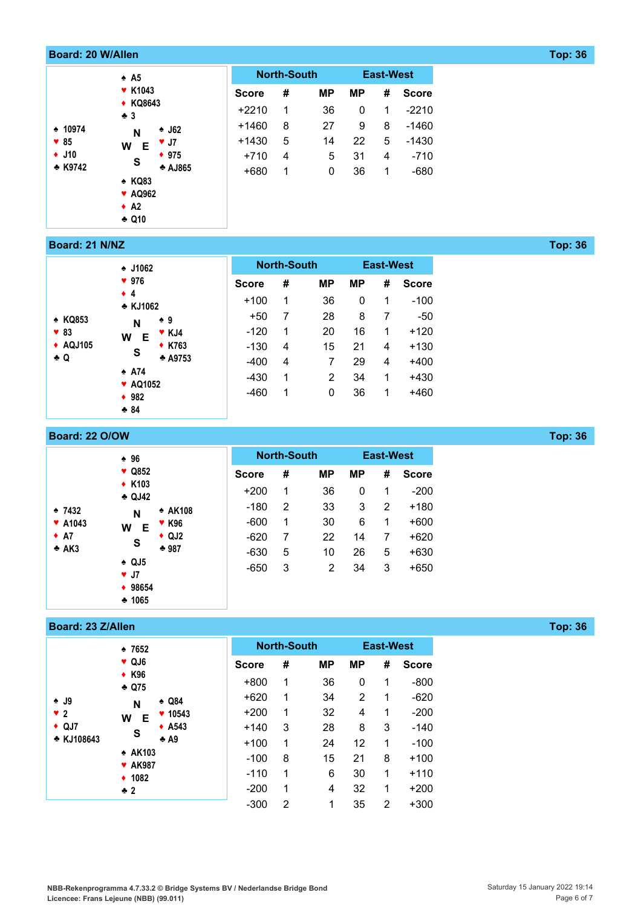| <b>Board: 20 W/Allen</b> |                                |              |                    |           |           |                  |              |
|--------------------------|--------------------------------|--------------|--------------------|-----------|-----------|------------------|--------------|
|                          | $\triangle$ A5                 |              | <b>North-South</b> |           |           | <b>East-West</b> |              |
|                          | <b>* K1043</b>                 | <b>Score</b> | #                  | <b>MP</b> | <b>MP</b> | #                | <b>Score</b> |
|                          | ◆ KQ8643<br>$\clubsuit$ 3      | $+2210$      | 1                  | 36        | 0         | 1                | $-2210$      |
| $\div$ 10974             | $\triangle$ J62<br>N           | $+1460$      | 8                  | 27        | 9         | 8                | $-1460$      |
| $\blacktriangledown 85$  | $\Psi$ J7<br>W<br>Е            | $+1430$      | 5                  | 14        | 22        | 5                | $-1430$      |
| $\div$ J10               | $* 975$<br>S                   | $+710$       | 4                  | 5         | 31        | 4                | $-710$       |
| * K9742                  | * AJ865<br>* KQ83              | $+680$       | 1                  | 0         | 36        | 1                | $-680$       |
|                          | <b>v</b> AQ962<br>$\bullet$ A2 |              |                    |           |           |                  |              |
|                          | $\triangle$ Q10                |              |                    |           |           |                  |              |

#### **Board: 21 N/NZ Top: 36**

|                         | $\div$ J1062                        |              | <b>North-South</b> |           | <b>East-West</b> |   |              |
|-------------------------|-------------------------------------|--------------|--------------------|-----------|------------------|---|--------------|
|                         | 976                                 | <b>Score</b> | #                  | <b>MP</b> | <b>MP</b>        | # | <b>Score</b> |
|                         | $\bullet$ 4<br>* KJ1062             | $+100$       | 1                  | 36        | 0                | 1 | $-100$       |
| * KQ853                 | $\div 9$<br>N                       | $+50$        | 7                  | 28        | 8                | 7 | -50          |
| $\blacktriangledown 83$ | $\blacktriangledown$ KJ4<br>W<br>Е  | $-120$       | 1                  | 20        | 16               | 1 | $+120$       |
| ◆ AQJ105                | <b>◆ K763</b><br>S                  | $-130$       | 4                  | 15        | 21               | 4 | $+130$       |
| $\bullet$ Q             | $+ A9753$                           | $-400$       | 4                  | 7         | 29               | 4 | $+400$       |
|                         | $\spadesuit$ A74<br><b>*</b> AQ1052 | -430         | 1                  | 2         | 34               | 1 | $+430$       |
|                         | $\div$ 982                          | $-460$       | 1                  | 0         | 36               | 1 | +460         |
|                         | $+84$                               |              |                    |           |                  |   |              |

| <b>Board: 22 O/OW</b> |                                      |                   |              |                    |           |           |                  |              |
|-----------------------|--------------------------------------|-------------------|--------------|--------------------|-----------|-----------|------------------|--------------|
|                       | $* 96$                               |                   |              | <b>North-South</b> |           |           | <b>East-West</b> |              |
|                       | ♥ Q852                               |                   | <b>Score</b> | #                  | <b>MP</b> | <b>MP</b> | #                | <b>Score</b> |
|                       | $\triangle$ K103<br>$\triangle$ QJ42 |                   | $+200$       | 1                  | 36        | 0         |                  | $-200$       |
| $\div$ 7432           | N<br>W<br>Е                          | $\triangle$ AK108 | -180         | 2                  | 33        | 3         | 2                | $+180$       |
| $\times$ A1043        |                                      | <b>▼ K96</b>      | $-600$       | 1                  | 30        | 6         | 1                | $+600$       |
| $\bullet$ A7          | S                                    | $\triangle$ QJ2   | -620         |                    | 22        | 14        | 7                | $+620$       |
| A K3                  |                                      | $*987$            | $-630$       | 5                  | 10        | 26        | 5                | $+630$       |
|                       | $\triangle$ QJ5<br>$\Psi$ J7         |                   | $-650$       | -3                 | 2         | 34        | 3                | $+650$       |
|                       | ◆ 98654<br>• 1065                    |                   |              |                    |           |           |                  |              |

#### **Board: 23 Z/Allen Top: 36**

|                     | $\div 7652$                                             |                  |              | <b>North-South</b> |           |                | <b>East-West</b> |              |
|---------------------|---------------------------------------------------------|------------------|--------------|--------------------|-----------|----------------|------------------|--------------|
|                     | VQJ6<br><b>◆ K96</b>                                    |                  | <b>Score</b> | #                  | <b>MP</b> | <b>MP</b>      | #                | <b>Score</b> |
|                     | $-$ Q75                                                 |                  | $+800$       | 1                  | 36        | 0              | 1                | $-800$       |
| $\bullet$ J9        | N<br>W<br>Е<br>S<br>* AK103<br><b>* AK987</b><br>◆ 1082 | $\triangle$ Q84  | $+620$       | 1                  | 34        | $\overline{2}$ | 1                | $-620$       |
| $\sqrt{2}$          |                                                         | $* 10543$        | $+200$       | 1                  | 32        | 4              | 1                | $-200$       |
| $\triangleleft$ QJ7 |                                                         | $\triangle$ A543 | $+140$       | 3                  | 28        | 8              | 3                | $-140$       |
| * KJ108643          |                                                         | $\triangle$ A9   | $+100$       | 1                  | 24        | 12             | 1                | $-100$       |
|                     |                                                         |                  | $-100$       | 8                  | 15        | 21             | 8                | $+100$       |
|                     |                                                         |                  | $-110$       | 1                  | 6         | 30             | 1                | $+110$       |
|                     | $\div$ 2                                                |                  | $-200$       | 1                  | 4         | 32             | 1                | $+200$       |
|                     |                                                         |                  | $-300$       | 2                  | 1         | 35             | 2                | $+300$       |